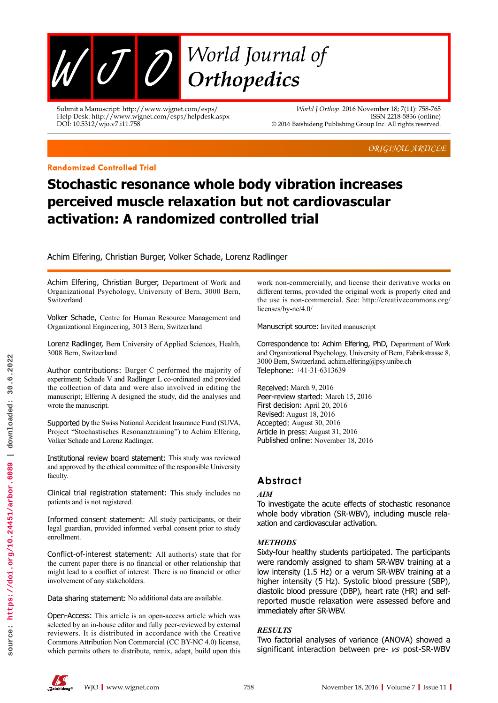

Submit a Manuscript: http://www.wjgnet.com/esps/ Help Desk: http://www.wjgnet.com/esps/helpdesk.aspx DOI: 10.5312/wjo.v7.i11.758

*World J Orthop* 2016 November 18; 7(11): 758-765 ISSN 2218-5836 (online) © 2016 Baishideng Publishing Group Inc. All rights reserved.

*ORIGINAL ARTICLE*

#### **Randomized Controlled Trial**

# **Stochastic resonance whole body vibration increases perceived muscle relaxation but not cardiovascular activation: A randomized controlled trial**

Achim Elfering, Christian Burger, Volker Schade, Lorenz Radlinger

Achim Elfering, Christian Burger, Department of Work and Organizational Psychology, University of Bern, 3000 Bern, Switzerland

Volker Schade, Centre for Human Resource Management and Organizational Engineering, 3013 Bern, Switzerland

Lorenz Radlinger, Bern University of Applied Sciences, Health, 3008 Bern, Switzerland

Author contributions: Burger C performed the majority of experiment; Schade V and Radlinger L co-ordinated and provided the collection of data and were also involved in editing the manuscript; Elfering A designed the study, did the analyses and wrote the manuscript.

Supported by the Swiss National Accident Insurance Fund (SUVA, Project "Stochastisches Resonanztraining") to Achim Elfering, Volker Schade and Lorenz Radlinger.

Institutional review board statement: This study was reviewed and approved by the ethical committee of the responsible University faculty.

Clinical trial registration statement: This study includes no patients and is not registered.

Informed consent statement: All study participants, or their legal guardian, provided informed verbal consent prior to study enrollment.

Conflict-of-interest statement: All author(s) state that for the current paper there is no financial or other relationship that might lead to a conflict of interest. There is no financial or other involvement of any stakeholders.

Data sharing statement: No additional data are available.

Open-Access: This article is an open-access article which was selected by an in-house editor and fully peer-reviewed by external reviewers. It is distributed in accordance with the Creative Commons Attribution Non Commercial (CC BY-NC 4.0) license, which permits others to distribute, remix, adapt, build upon this work non-commercially, and license their derivative works on different terms, provided the original work is properly cited and the use is non-commercial. See: http://creativecommons.org/ licenses/by-nc/4.0/

Manuscript source: Invited manuscript

Correspondence to: Achim Elfering, PhD, Department of Work and Organizational Psychology, University of Bern, Fabrikstrasse 8, 3000 Bern, Switzerland. achim.elfering@psy.unibe.ch Telephone: +41-31-6313639

Received: March 9, 2016 Peer-review started: March 15, 2016 First decision: April 20, 2016 Revised: August 18, 2016 Accepted: August 30, 2016 Article in press: August 31, 2016 Published online: November 18, 2016

# **Abstract**

# *AIM*

To investigate the acute effects of stochastic resonance whole body vibration (SR-WBV), including muscle relaxation and cardiovascular activation.

# *METHODS*

Sixty-four healthy students participated. The participants were randomly assigned to sham SR-WBV training at a low intensity (1.5 Hz) or a verum SR-WBV training at a higher intensity (5 Hz). Systolic blood pressure (SBP), diastolic blood pressure (DBP), heart rate (HR) and selfreported muscle relaxation were assessed before and immediately after SR-WBV.

# *RESULTS*

Two factorial analyses of variance (ANOVA) showed a significant interaction between pre- vs post-SR-WBV

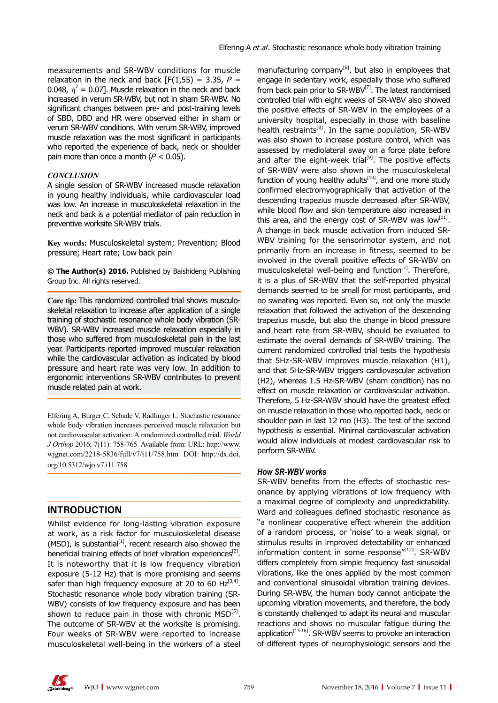measurements and SR-WBV conditions for muscle relaxation in the neck and back  $[F(1,55) = 3.35, P =$ 0.048,  $\eta^2$  = 0.07]. Muscle relaxation in the neck and back increased in verum SR-WBV, but not in sham SR-WBV. No significant changes between pre- and post-training levels of SBD, DBD and HR were observed either in sham or verum SR-WBV conditions. With verum SR-WBV, improved muscle relaxation was the most significant in participants who reported the experience of back, neck or shoulder pain more than once a month ( $P < 0.05$ ).

#### *CONCLUSION*

A single session of SR-WBV increased muscle relaxation in young healthy individuals, while cardiovascular load was low. An increase in musculoskeletal relaxation in the neck and back is a potential mediator of pain reduction in preventive worksite SR-WBV trials.

**Key words:** Musculoskeletal system; Prevention; Blood pressure; Heart rate; Low back pain

**© The Author(s) 2016.** Published by Baishideng Publishing Group Inc. All rights reserved.

**Core tip:** This randomized controlled trial shows musculoskeletal relaxation to increase after application of a single training of stochastic resonance whole body vibration (SR-WBV). SR-WBV increased muscle relaxation especially in those who suffered from musculoskeletal pain in the last year. Participants reported improved muscular relaxation while the cardiovascular activation as indicated by blood pressure and heart rate was very low. In addition to ergonomic interventions SR-WBV contributes to prevent muscle related pain at work.

Elfering A, Burger C, Schade V, Radlinger L. Stochastic resonance whole body vibration increases perceived muscle relaxation but not cardiovascular activation: A randomized controlled trial. *World J Orthop* 2016; 7(11): 758-765 Available from: URL: http://www. wjgnet.com/2218-5836/full/v7/i11/758.htm DOI: http://dx.doi. org/10.5312/wjo.v7.i11.758

# **INTRODUCTION**

Whilst evidence for long-lasting vibration exposure at work, as a risk factor for musculoskeletal disease (MSD), is substantial $[11]$ , recent research also showed the beneficial training effects of brief vibration experiences<sup>[2]</sup>. It is noteworthy that it is low frequency vibration exposure (5-12 Hz) that is more promising and seems safer than high frequency exposure at 20 to 60 Hz $^{[3,4]}$ . Stochastic resonance whole body vibration training (SR-WBV) consists of low frequency exposure and has been shown to reduce pain in those with chronic  $MSD^{[5]}$ . The outcome of SR-WBV at the worksite is promising. Four weeks of SR-WBV were reported to increase musculoskeletal well-being in the workers of a steel

manufacturing company<sup>[6]</sup>, but also in employees that engage in sedentary work, especially those who suffered from back pain prior to  $SR-WBV^{[7]}$ . The latest randomised controlled trial with eight weeks of SR-WBV also showed the positive effects of SR-WBV in the employees of a university hospital, especially in those with baseline health restraints<sup>[8]</sup>. In the same population, SR-WBV was also shown to increase posture control, which was assessed by mediolateral sway on a force plate before and after the eight-week trial<sup>[9]</sup>. The positive effects of SR-WBV were also shown in the musculoskeletal function of young healthy adults<sup>[10]</sup>, and one more study confirmed electromyographically that activation of the descending trapezius muscle decreased after SR-WBV, while blood flow and skin temperature also increased in this area, and the energy cost of SR-WBV was  $\text{low}^{[11]}$ . A change in back muscle activation from induced SR-WBV training for the sensorimotor system, and not primarily from an increase in fitness, seemed to be involved in the overall positive effects of SR-WBV on musculoskeletal well-being and function<sup>[7]</sup>. Therefore, it is a plus of SR-WBV that the self-reported physical demands seemed to be small for most participants, and no sweating was reported. Even so, not only the muscle relaxation that followed the activation of the descending trapezius muscle, but also the change in blood pressure and heart rate from SR-WBV, should be evaluated to estimate the overall demands of SR-WBV training. The current randomized controlled trial tests the hypothesis that 5Hz-SR-WBV improves muscle relaxation (H1), and that 5Hz-SR-WBV triggers cardiovascular activation (H2), whereas 1.5 Hz-SR-WBV (sham condition) has no effect on muscle relaxation or cardiovascular activation. Therefore, 5 Hz-SR-WBV should have the greatest effect on muscle relaxation in those who reported back, neck or shoulder pain in last 12 mo (H3). The test of the second hypothesis is essential. Minimal cardiovascular activation would allow individuals at modest cardiovascular risk to perform SR-WBV.

# *How SR-WBV works*

SR-WBV benefits from the effects of stochastic resonance by applying vibrations of low frequency with a maximal degree of complexity and unpredictability. Ward and colleagues defined stochastic resonance as "a nonlinear cooperative effect wherein the addition of a random process, or 'noise' to a weak signal, or stimulus results in improved detectability or enhanced information content in some response"[12]. SR-WBV differs completely from simple frequency fast sinusoidal vibrations, like the ones applied by the most common and conventional sinusoidal vibration training devices. During SR-WBV, the human body cannot anticipate the upcoming vibration movements, and therefore, the body is constantly challenged to adapt its neural and muscular reactions and shows no muscular fatigue during the application<sup>[13-16]</sup>. SR-WBV seems to provoke an interaction of different types of neurophysiologic sensors and the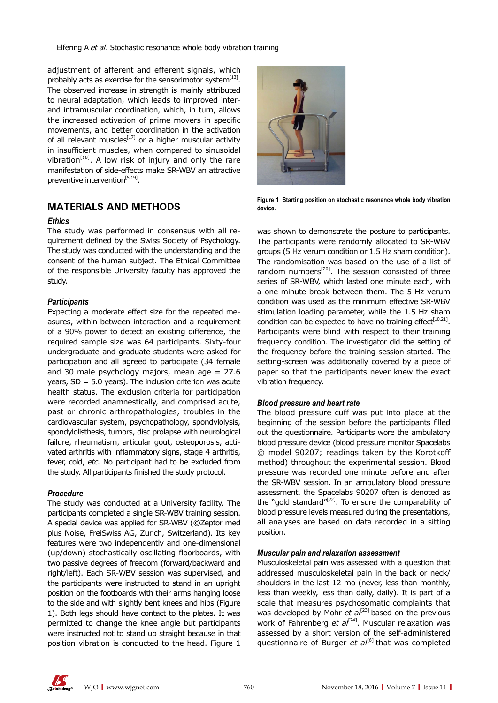Elfering A et al. Stochastic resonance whole body vibration training

adjustment of afferent and efferent signals, which probably acts as exercise for the sensorimotor system $^{[13]}$ . The observed increase in strength is mainly attributed to neural adaptation, which leads to improved interand intramuscular coordination, which, in turn, allows the increased activation of prime movers in specific movements, and better coordination in the activation of all relevant muscles<sup>[17]</sup> or a higher muscular activity in insufficient muscles, when compared to sinusoidal vibration $[18]$ . A low risk of injury and only the rare manifestation of side-effects make SR-WBV an attractive preventive intervention<sup>[5,19]</sup>.

# **MATERIALS AND METHODS**

#### *Ethics*

The study was performed in consensus with all requirement defined by the Swiss Society of Psychology. The study was conducted with the understanding and the consent of the human subject. The Ethical Committee of the responsible University faculty has approved the study.

# *Participants*

Expecting a moderate effect size for the repeated measures, within-between interaction and a requirement of a 90% power to detect an existing difference, the required sample size was 64 participants. Sixty-four undergraduate and graduate students were asked for participation and all agreed to participate (34 female and 30 male psychology majors, mean age  $= 27.6$ years,  $SD = 5.0$  years). The inclusion criterion was acute health status. The exclusion criteria for participation were recorded anamnestically, and comprised acute, past or chronic arthropathologies, troubles in the cardiovascular system, psychopathology, spondylolysis, spondylolisthesis, tumors, disc prolapse with neurological failure, rheumatism, articular gout, osteoporosis, activated arthritis with inflammatory signs, stage 4 arthritis, fever, cold, *etc.* No participant had to be excluded from the study. All participants finished the study protocol.

# *Procedure*

The study was conducted at a University facility. The participants completed a single SR-WBV training session. A special device was applied for SR-WBV (©Zeptor med plus Noise, FreiSwiss AG, Zurich, Switzerland). Its key features were two independently and one-dimensional (up/down) stochastically oscillating floorboards, with two passive degrees of freedom (forward/backward and right/left). Each SR-WBV session was supervised, and the participants were instructed to stand in an upright position on the footboards with their arms hanging loose to the side and with slightly bent knees and hips (Figure 1). Both legs should have contact to the plates. It was permitted to change the knee angle but participants were instructed not to stand up straight because in that position vibration is conducted to the head. Figure 1



**Figure 1 Starting position on stochastic resonance whole body vibration device.**

was shown to demonstrate the posture to participants. The participants were randomly allocated to SR-WBV groups (5 Hz verum condition or 1.5 Hz sham condition). The randomisation was based on the use of a list of random numbers<sup>[20]</sup>. The session consisted of three series of SR-WBV, which lasted one minute each, with a one-minute break between them. The 5 Hz verum condition was used as the minimum effective SR-WBV stimulation loading parameter, while the 1.5 Hz sham condition can be expected to have no training effect $[10,21]$ . Participants were blind with respect to their training frequency condition. The investigator did the setting of the frequency before the training session started. The setting-screen was additionally covered by a piece of paper so that the participants never knew the exact vibration frequency.

# *Blood pressure and heart rate*

The blood pressure cuff was put into place at the beginning of the session before the participants filled out the questionnaire. Participants wore the ambulatory blood pressure device (blood pressure monitor Spacelabs © model 90207; readings taken by the Korotkoff method) throughout the experimental session. Blood pressure was recorded one minute before and after the SR-WBV session. In an ambulatory blood pressure assessment, the Spacelabs 90207 often is denoted as the "gold standard" $[22]$ . To ensure the comparability of blood pressure levels measured during the presentations, all analyses are based on data recorded in a sitting position.

# *Muscular pain and relaxation assessment*

Musculoskeletal pain was assessed with a question that addressed musculoskeletal pain in the back or neck/ shoulders in the last 12 mo (never, less than monthly, less than weekly, less than daily, daily). It is part of a scale that measures psychosomatic complaints that was developed by Mohr *et al*<sup>[23]</sup> based on the previous work of Fahrenberg *et al*<sup>[24]</sup>. Muscular relaxation was assessed by a short version of the self-administered questionnaire of Burger *et al*<sup>[6]</sup> that was completed

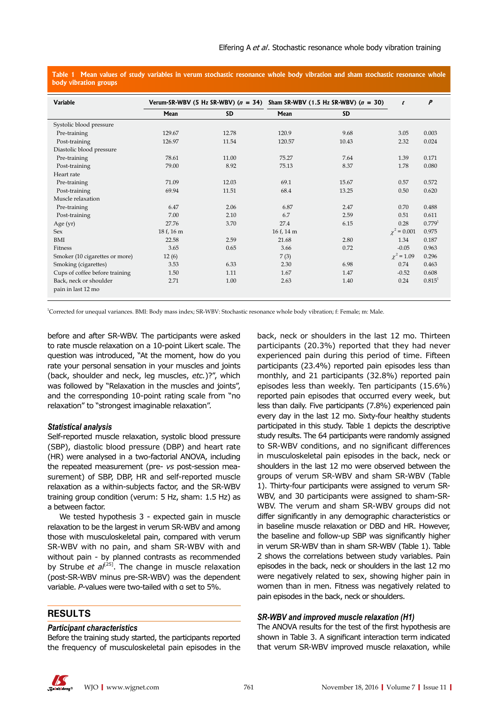**Table 1 Mean values of study variables in verum stochastic resonance whole body vibration and sham stochastic resonance whole body vibration groups**

| <b>Variable</b>                |            | Verum-SR-WBV (5 Hz SR-WBV) $(n = 34)$ Sham SR-WBV (1.5 Hz SR-WBV) $(n = 30)$ |            | t         | $\boldsymbol{P}$ |                      |
|--------------------------------|------------|------------------------------------------------------------------------------|------------|-----------|------------------|----------------------|
|                                | Mean       | <b>SD</b>                                                                    | Mean       | <b>SD</b> |                  |                      |
| Systolic blood pressure        |            |                                                                              |            |           |                  |                      |
| Pre-training                   | 129.67     | 12.78                                                                        | 120.9      | 9.68      | 3.05             | 0.003                |
| Post-training                  | 126.97     | 11.54                                                                        | 120.57     | 10.43     | 2.32             | 0.024                |
| Diastolic blood pressure       |            |                                                                              |            |           |                  |                      |
| Pre-training                   | 78.61      | 11.00                                                                        | 75.27      | 7.64      | 1.39             | 0.171                |
| Post-training                  | 79.00      | 8.92                                                                         | 75.13      | 8.37      | 1.78             | 0.080                |
| Heart rate                     |            |                                                                              |            |           |                  |                      |
| Pre-training                   | 71.09      | 12.03                                                                        | 69.1       | 15.67     | 0.57             | 0.572                |
| Post-training                  | 69.94      | 11.51                                                                        | 68.4       | 13.25     | 0.50             | 0.620                |
| Muscle relaxation              |            |                                                                              |            |           |                  |                      |
| Pre-training                   | 6.47       | 2.06                                                                         | 6.87       | 2.47      | 0.70             | 0.488                |
| Post-training                  | 7.00       | 2.10                                                                         | 6.7        | 2.59      | 0.51             | 0.611                |
| Age (yr)                       | 27.76      | 3.70                                                                         | 27.4       | 6.15      | 0.28             | $0.779$ <sup>1</sup> |
| <b>Sex</b>                     | 18 f. 16 m |                                                                              | 16 f, 14 m |           | $\chi^2 = 0.001$ | 0.975                |
| BMI                            | 22.58      | 2.59                                                                         | 21.68      | 2.80      | 1.34             | 0.187                |
| Fitness                        | 3.65       | 0.65                                                                         | 3.66       | 0.72      | $-0.05$          | 0.963                |
| Smoker (10 cigarettes or more) | 12(6)      |                                                                              | 7(3)       |           | $\chi^2 = 1.09$  | 0.296                |
| Smoking (cigarettes)           | 3.53       | 6.33                                                                         | 2.30       | 6.98      | 0.74             | 0.463                |
| Cups of coffee before training | 1.50       | 1.11                                                                         | 1.67       | 1.47      | $-0.52$          | 0.608                |
| Back, neck or shoulder         | 2.71       | 1.00                                                                         | 2.63       | 1.40      | 0.24             | 0.815 <sup>1</sup>   |
| pain in last 12 mo             |            |                                                                              |            |           |                  |                      |
|                                |            |                                                                              |            |           |                  |                      |

1 Corrected for unequal variances. BMI: Body mass index; SR-WBV: Stochastic resonance whole body vibration; f: Female; m: Male.

before and after SR-WBV. The participants were asked to rate muscle relaxation on a 10-point Likert scale. The question was introduced, "At the moment, how do you rate your personal sensation in your muscles and joints (back, shoulder and neck, leg muscles, *etc.*)?", which was followed by "Relaxation in the muscles and joints", and the corresponding 10-point rating scale from "no relaxation" to "strongest imaginable relaxation".

#### *Statistical analysis*

Self-reported muscle relaxation, systolic blood pressure (SBP), diastolic blood pressure (DBP) and heart rate (HR) were analysed in a two-factorial ANOVA, including the repeated measurement (pre- *vs* post-session measurement) of SBP, DBP, HR and self-reported muscle relaxation as a within-subjects factor, and the SR-WBV training group condition (verum: 5 Hz, sham: 1.5 Hz) as a between factor.

We tested hypothesis 3 - expected gain in muscle relaxation to be the largest in verum SR-WBV and among those with musculoskeletal pain, compared with verum SR-WBV with no pain, and sham SR-WBV with and without pain - by planned contrasts as recommended by Strube *et al*<sup>[25]</sup>. The change in muscle relaxation (post-SR-WBV minus pre-SR-WBV) was the dependent variable. *P*-values were two-tailed with α set to 5%.

# **RESULTS**

#### *Participant characteristics*

Before the training study started, the participants reported the frequency of musculoskeletal pain episodes in the

back, neck or shoulders in the last 12 mo. Thirteen participants (20.3%) reported that they had never experienced pain during this period of time. Fifteen participants (23.4%) reported pain episodes less than monthly, and 21 participants (32.8%) reported pain episodes less than weekly. Ten participants (15.6%) reported pain episodes that occurred every week, but less than daily. Five participants (7.8%) experienced pain every day in the last 12 mo. Sixty-four healthy students participated in this study. Table 1 depicts the descriptive study results. The 64 participants were randomly assigned to SR-WBV conditions, and no significant differences in musculoskeletal pain episodes in the back, neck or shoulders in the last 12 mo were observed between the groups of verum SR-WBV and sham SR-WBV (Table 1). Thirty-four participants were assigned to verum SR-WBV, and 30 participants were assigned to sham-SR-WBV. The verum and sham SR-WBV groups did not differ significantly in any demographic characteristics or in baseline muscle relaxation or DBD and HR. However, the baseline and follow-up SBP was significantly higher in verum SR-WBV than in sham SR-WBV (Table 1). Table 2 shows the correlations between study variables. Pain episodes in the back, neck or shoulders in the last 12 mo were negatively related to sex, showing higher pain in women than in men. Fitness was negatively related to pain episodes in the back, neck or shoulders.

#### *SR-WBV and improved muscle relaxation (H1)*

The ANOVA results for the test of the first hypothesis are shown in Table 3. A significant interaction term indicated that verum SR-WBV improved muscle relaxation, while

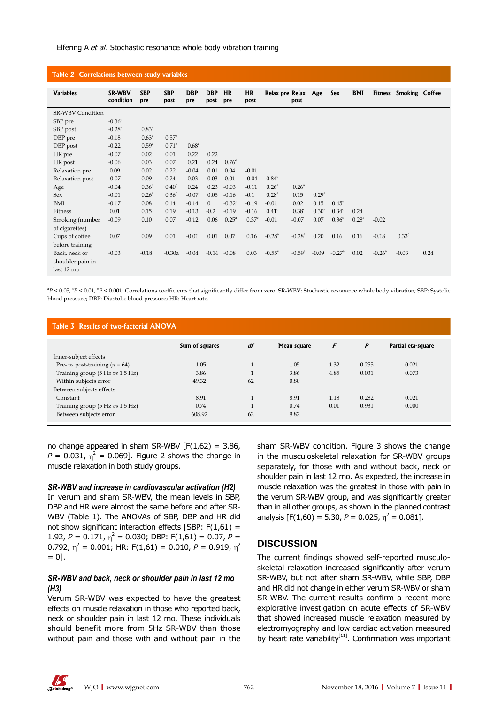#### Elfering A et al. Stochastic resonance whole body vibration training

| Table 2 Correlations between study variables    |                      |                   |                    |                   |                    |                   |                   |                      |                      |                   |                      |                   |                      |                   |      |
|-------------------------------------------------|----------------------|-------------------|--------------------|-------------------|--------------------|-------------------|-------------------|----------------------|----------------------|-------------------|----------------------|-------------------|----------------------|-------------------|------|
| <b>Variables</b>                                | SR-WBV<br>condition  | <b>SBP</b><br>pre | <b>SBP</b><br>post | <b>DBP</b><br>pre | <b>DBP</b><br>post | <b>HR</b><br>pre  | <b>HR</b><br>post | Relax pre Relax Age  | post                 |                   | Sex                  | <b>BMI</b>        | <b>Fitness</b>       | Smoking Coffee    |      |
| <b>SR-WBV Condition</b>                         |                      |                   |                    |                   |                    |                   |                   |                      |                      |                   |                      |                   |                      |                   |      |
| SBP pre                                         | $-0.36^{\circ}$      |                   |                    |                   |                    |                   |                   |                      |                      |                   |                      |                   |                      |                   |      |
| SBP post                                        | $-0.28$ <sup>a</sup> | 0.83 <sup>e</sup> |                    |                   |                    |                   |                   |                      |                      |                   |                      |                   |                      |                   |      |
| DBP pre                                         | $-0.18$              | 0.63 <sup>e</sup> | $0.57^{\circ}$     |                   |                    |                   |                   |                      |                      |                   |                      |                   |                      |                   |      |
| DBP post                                        | $-0.22$              | $0.59^{\circ}$    | $0.71^\mathrm{e}$  | $0.68^{\circ}$    |                    |                   |                   |                      |                      |                   |                      |                   |                      |                   |      |
| HR pre                                          | $-0.07$              | 0.02              | 0.01               | 0.22              | 0.22               |                   |                   |                      |                      |                   |                      |                   |                      |                   |      |
| HR post                                         | $-0.06$              | 0.03              | 0.07               | 0.21              | 0.24               | $0.76^\mathrm{e}$ |                   |                      |                      |                   |                      |                   |                      |                   |      |
| Relaxation pre                                  | 0.09                 | 0.02              | 0.22               | $-0.04$           | 0.01               | 0.04              | $-0.01$           |                      |                      |                   |                      |                   |                      |                   |      |
| Relaxation post                                 | $-0.07$              | 0.09              | 0.24               | 0.03              | 0.03               | 0.01              | $-0.04$           | $0.84^\mathrm{e}$    |                      |                   |                      |                   |                      |                   |      |
| Age                                             | $-0.04$              | 0.36 <sup>c</sup> | 0.40 <sup>c</sup>  | 0.24              | 0.23               | $-0.03$           | $-0.11$           | $0.26^{\circ}$       | $0.26^{\circ}$       |                   |                      |                   |                      |                   |      |
| <b>Sex</b>                                      | $-0.01$              | $0.26^{\circ}$    | 0.36 <sup>c</sup>  | $-0.07$           | 0.05               | $-0.16$           | $-0.1$            | $0.28^{\circ}$       | 0.15                 | 0.29 <sup>a</sup> |                      |                   |                      |                   |      |
| <b>BMI</b>                                      | $-0.17$              | 0.08              | 0.14               | $-0.14$           | $\Omega$           | $-0.32^{\circ}$   | $-0.19$           | $-0.01$              | 0.02                 | 0.15              | $0.45^\mathrm{e}$    |                   |                      |                   |      |
| Fitness                                         | 0.01                 | 0.15              | 0.19               | $-0.13$           | $-0.2$             | $-0.19$           | $-0.16$           | 0.41 <sup>c</sup>    | 0.38 <sup>c</sup>    | 0.30 <sup>a</sup> | 0.34 <sup>c</sup>    | 0.24              |                      |                   |      |
| Smoking (number<br>of cigarettes)               | $-0.09$              | 0.10              | 0.07               | $-0.12$           | 0.06               | $0.25^{\circ}$    | 0.37 <sup>c</sup> | $-0.01$              | $-0.07$              | 0.07              | 0.36 <sup>c</sup>    | 0.28 <sup>a</sup> | $-0.02$              |                   |      |
| Cups of coffee<br>before training               | 0.07                 | 0.09              | 0.01               | $-0.01$           | 0.01               | 0.07              | 0.16              | $-0.28$ <sup>a</sup> | $-0.28$ <sup>a</sup> | 0.20              | 0.16                 | 0.16              | $-0.18$              | 0.33 <sup>c</sup> |      |
| Back, neck or<br>shoulder pain in<br>last 12 mo | $-0.03$              | $-0.18$           | $-0.30a$           | $-0.04$           |                    | $-0.14 - 0.08$    | 0.03              | $-0.55^{\circ}$      | $-0.59^{\circ}$      | $-0.09$           | $-0.27$ <sup>a</sup> | 0.02              | $-0.26$ <sup>a</sup> | $-0.03$           | 0.24 |

<sup>a</sup>P < 0.05, <sup>c</sup>P < 0.01, <sup>e</sup>P < 0.001: Correlations coefficients that significantly differ from zero. SR-WBV: Stochastic resonance whole body vibration; SBP: Systolic blood pressure; DBP: Diastolic blood pressure; HR: Heart rate.

| Table 3 Results of two-factorial ANOVA |                |              |             |      |       |                    |  |  |  |  |
|----------------------------------------|----------------|--------------|-------------|------|-------|--------------------|--|--|--|--|
|                                        | Sum of squares | df           | Mean square | F    | P     | Partial eta-square |  |  |  |  |
| Inner-subject effects                  |                |              |             |      |       |                    |  |  |  |  |
| Pre- vs post-training $(n = 64)$       | 1.05           | $\mathbf{I}$ | 1.05        | 1.32 | 0.255 | 0.021              |  |  |  |  |
| Training group (5 Hz vs 1.5 Hz)        | 3.86           |              | 3.86        | 4.85 | 0.031 | 0.073              |  |  |  |  |
| Within subjects error                  | 49.32          | 62           | 0.80        |      |       |                    |  |  |  |  |
| Between subjects effects               |                |              |             |      |       |                    |  |  |  |  |
| Constant                               | 8.91           | $\mathbf{I}$ | 8.91        | 1.18 | 0.282 | 0.021              |  |  |  |  |
| Training group (5 Hz vs 1.5 Hz)        | 0.74           | $\mathbf{I}$ | 0.74        | 0.01 | 0.931 | 0.000              |  |  |  |  |
| Between subjects error                 | 608.92         | 62           | 9.82        |      |       |                    |  |  |  |  |

no change appeared in sham SR-WBV  $[F(1,62) = 3.86,$  $P = 0.031$ ,  $\eta^2 = 0.069$ ]. Figure 2 shows the change in muscle relaxation in both study groups.

#### *SR-WBV and increase in cardiovascular activation (H2)*

In verum and sham SR-WBV, the mean levels in SBP, DBP and HR were almost the same before and after SR-WBV (Table 1). The ANOVAs of SBP, DBP and HR did not show significant interaction effects  $[SBP: F(1,61) =$ 1.92,  $P = 0.171$ ,  $\eta^2 = 0.030$ ; DBP:  $F(1,61) = 0.07$ ,  $P =$ 0.792,  $η<sup>2</sup> = 0.001$ ; HR: F(1,61) = 0.010,  $P = 0.919$ ,  $η<sup>2</sup>$  $= 0.01$ .

# *SR-WBV and back, neck or shoulder pain in last 12 mo (H3)*

Verum SR-WBV was expected to have the greatest effects on muscle relaxation in those who reported back, neck or shoulder pain in last 12 mo. These individuals should benefit more from 5Hz SR-WBV than those without pain and those with and without pain in the

sham SR-WBV condition. Figure 3 shows the change in the musculoskeletal relaxation for SR-WBV groups separately, for those with and without back, neck or shoulder pain in last 12 mo. As expected, the increase in muscle relaxation was the greatest in those with pain in the verum SR-WBV group, and was significantly greater than in all other groups, as shown in the planned contrast analysis  $[F(1,60) = 5.30, P = 0.025, \eta^2 = 0.081].$ 

# **DISCUSSION**

The current findings showed self-reported musculoskeletal relaxation increased significantly after verum SR-WBV, but not after sham SR-WBV, while SBP, DBP and HR did not change in either verum SR-WBV or sham SR-WBV. The current results confirm a recent more explorative investigation on acute effects of SR-WBV that showed increased muscle relaxation measured by electromyography and low cardiac activation measured by heart rate variability $[11]$ . Confirmation was important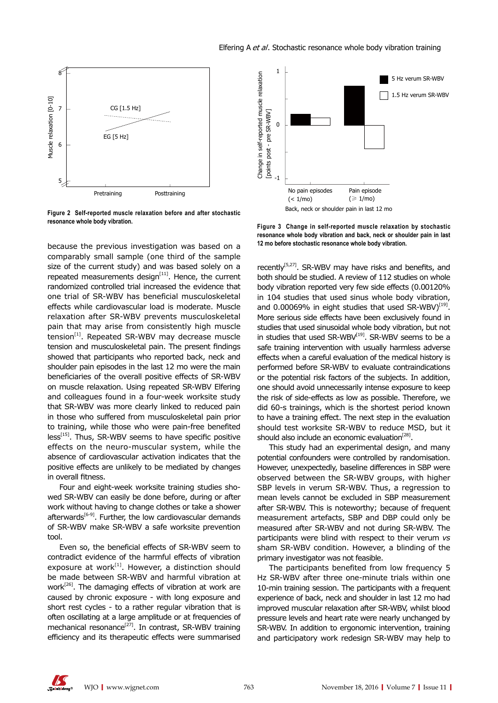

**Figure 2 Self-reported muscle relaxation before and after stochastic resonance whole body vibration.**

because the previous investigation was based on a comparably small sample (one third of the sample size of the current study) and was based solely on a repeated measurements design $[11]$ . Hence, the current randomized controlled trial increased the evidence that one trial of SR-WBV has beneficial musculoskeletal effects while cardiovascular load is moderate. Muscle relaxation after SR-WBV prevents musculoskeletal pain that may arise from consistently high muscle tension $[1]$ . Repeated SR-WBV may decrease muscle tension and musculoskeletal pain. The present findings showed that participants who reported back, neck and shoulder pain episodes in the last 12 mo were the main beneficiaries of the overall positive effects of SR-WBV on muscle relaxation. Using repeated SR-WBV Elfering and colleagues found in a four-week worksite study that SR-WBV was more clearly linked to reduced pain in those who suffered from musculoskeletal pain prior to training, while those who were pain-free benefited  $less<sup>[15]</sup>$ . Thus, SR-WBV seems to have specific positive effects on the neuro-muscular system, while the absence of cardiovascular activation indicates that the positive effects are unlikely to be mediated by changes in overall fitness.

Four and eight-week worksite training studies showed SR-WBV can easily be done before, during or after work without having to change clothes or take a shower afterwards $[6-9]$ . Further, the low cardiovascular demands of SR-WBV make SR-WBV a safe worksite prevention tool.

Even so, the beneficial effects of SR-WBV seem to contradict evidence of the harmful effects of vibration exposure at work $[1]$ . However, a distinction should be made between SR-WBV and harmful vibration at work<sup>[26]</sup>. The damaging effects of vibration at work are caused by chronic exposure - with long exposure and short rest cycles - to a rather regular vibration that is often oscillating at a large amplitude or at frequencies of mechanical resonance<sup>[27]</sup>. In contrast, SR-WBV training efficiency and its therapeutic effects were summarised



**Figure 3 Change in self-reported muscle relaxation by stochastic resonance whole body vibration and back, neck or shoulder pain in last 12 mo before stochastic resonance whole body vibration.**

recently<sup>[5,27]</sup>. SR-WBV may have risks and benefits, and both should be studied. A review of 112 studies on whole body vibration reported very few side effects (0.00120% in 104 studies that used sinus whole body vibration, and 0.00069% in eight studies that used  $SR-WBV$ <sup>[19]</sup>. More serious side effects have been exclusively found in studies that used sinusoidal whole body vibration, but not in studies that used SR-WBV $^{[19]}$ . SR-WBV seems to be a safe training intervention with usually harmless adverse effects when a careful evaluation of the medical history is performed before SR-WBV to evaluate contraindications or the potential risk factors of the subjects. In addition, one should avoid unnecessarily intense exposure to keep the risk of side-effects as low as possible. Therefore, we did 60-s trainings, which is the shortest period known to have a training effect. The next step in the evaluation should test worksite SR-WBV to reduce MSD, but it should also include an economic evaluation<sup>[28]</sup>.

This study had an experimental design, and many potential confounders were controlled by randomisation. However, unexpectedly, baseline differences in SBP were observed between the SR-WBV groups, with higher SBP levels in verum SR-WBV. Thus, a regression to mean levels cannot be excluded in SBP measurement after SR-WBV. This is noteworthy; because of frequent measurement artefacts, SBP and DBP could only be measured after SR-WBV and not during SR-WBV. The participants were blind with respect to their verum *vs* sham SR-WBV condition. However, a blinding of the primary investigator was not feasible.

The participants benefited from low frequency 5 Hz SR-WBV after three one-minute trials within one 10-min training session. The participants with a frequent experience of back, neck and shoulder in last 12 mo had improved muscular relaxation after SR-WBV, whilst blood pressure levels and heart rate were nearly unchanged by SR-WBV. In addition to ergonomic intervention, training and participatory work redesign SR-WBV may help to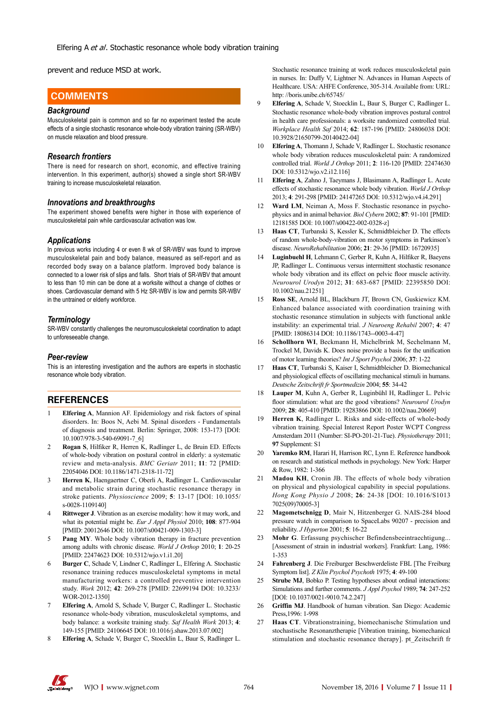prevent and reduce MSD at work.

# **COMMENTS COMMENTS**

#### *Background*

Musculoskeletal pain is common and so far no experiment tested the acute effects of a single stochastic resonance whole-body vibration training (SR-WBV) on muscle relaxation and blood pressure.

#### *Research frontiers*

There is need for research on short, economic, and effective training intervention. In this experiment, author(s) showed a single short SR-WBV training to increase musculoskeletal relaxation.

#### *Innovations and breakthroughs*

The experiment showed benefits were higher in those with experience of musculoskeletal pain while cardiovascular activation was low.

#### *Applications*

In previous works including 4 or even 8 wk of SR-WBV was found to improve musculoskeletal pain and body balance, measured as self-report and as recorded body sway on a balance platform. Improved body balance is connected to a lower risk of slips and falls. Short trials of SR-WBV that amount to less than 10 min can be done at a worksite without a change of clothes or shoes. Cardiovascular demand with 5 Hz SR-WBV is low and permits SR-WBV in the untrained or elderly workforce.

#### *Terminology*

SR-WBV constantly challenges the neuromusculoskeletal coordination to adapt to unforeseeable change.

#### *Peer-review*

This is an interesting investigation and the authors are experts in stochastic resonance whole body vibration.

# **REFERENCES**

- 1 **Elfering A**, Mannion AF. Epidemiology and risk factors of spinal disorders. In: Boos N, Aebi M. Spinal disorders - Fundamentals of diagnosis and treatment. Berlin: Springer, 2008: 153-173 [DOI: 10.1007/978-3-540-69091-7\_6]
- 2 **Rogan S**, Hilfiker R, Herren K, Radlinger L, de Bruin ED. Effects of whole-body vibration on postural control in elderly: a systematic review and meta-analysis. *BMC Geriatr* 2011; **11**: 72 [PMID: 22054046 DOI: 10.1186/1471-2318-11-72]
- 3 **Herren K**, Haengaertner C, Oberli A, Radlinger L. Cardiovascular and metabolic strain during stochastic resonance therapy in stroke patients. *Physioscience* 2009; **5**: 13-17 [DOI: 10.1055/ s-0028-1109140]
- 4 **Rittweger J**. Vibration as an exercise modality: how it may work, and what its potential might be. *Eur J Appl Physiol* 2010; **108**: 877-904 [PMID: 20012646 DOI: 10.1007/s00421-009-1303-3]
- **Pang MY**. Whole body vibration therapy in fracture prevention among adults with chronic disease. *World J Orthop* 2010; **1**: 20-25 [PMID: 22474623 DOI: 10.5312/wjo.v1.i1.20]
- 6 **Burger C**, Schade V, Lindner C, Radlinger L, Elfering A. Stochastic resonance training reduces musculoskeletal symptoms in metal manufacturing workers: a controlled preventive intervention study. *Work* 2012; **42**: 269-278 [PMID: 22699194 DOI: 10.3233/ WOR-2012-1350]
- 7 **Elfering A**, Arnold S, Schade V, Burger C, Radlinger L. Stochastic resonance whole-body vibration, musculoskeletal symptoms, and body balance: a worksite training study. *Saf Health Work* 2013; **4**: 149-155 [PMID: 24106645 DOI: 10.1016/j.shaw.2013.07.002]
- 8 **Elfering A**, Schade V, Burger C, Stoecklin L, Baur S, Radlinger L.

Stochastic resonance training at work reduces musculoskeletal pain in nurses. In: Duffy V, Lightner N. Advances in Human Aspects of Healthcare. USA: AHFE Conference, 305-314. Available from: URL: http: //boris.unibe.ch/65745/

- 9 **Elfering A**, Schade V, Stoecklin L, Baur S, Burger C, Radlinger L. Stochastic resonance whole-body vibration improves postural control in health care professionals: a worksite randomized controlled trial. *Workplace Health Saf* 2014; **62**: 187-196 [PMID: 24806038 DOI: 10.3928/21650799-20140422-04]
- 10 **Elfering A**, Thomann J, Schade V, Radlinger L. Stochastic resonance whole body vibration reduces musculoskeletal pain: A randomized controlled trial. *World J Orthop* 2011; **2**: 116-120 [PMID: 22474630 DOI: 10.5312/wjo.v2.i12.116]
- 11 **Elfering A**, Zahno J, Taeymans J, Blasimann A, Radlinger L. Acute effects of stochastic resonance whole body vibration. *World J Orthop* 2013; **4**: 291-298 [PMID: 24147265 DOI: 10.5312/wjo.v4.i4.291]
- 12 **Ward LM**, Neiman A, Moss F. Stochastic resonance in psychophysics and in animal behavior. *Biol Cybern* 2002; **87**: 91-101 [PMID: 12181585 DOI: 10.1007/s00422-002-0328-z]
- 13 **Haas CT**, Turbanski S, Kessler K, Schmidtbleicher D. The effects of random whole-body-vibration on motor symptoms in Parkinson's disease. *NeuroRehabilitation* 2006; **21**: 29-36 [PMID: 16720935]
- 14 **Luginbuehl H**, Lehmann C, Gerber R, Kuhn A, Hilfiker R, Baeyens JP, Radlinger L. Continuous versus intermittent stochastic resonance whole body vibration and its effect on pelvic floor muscle activity. *Neurourol Urodyn* 2012; **31**: 683-687 [PMID: 22395850 DOI: 10.1002/nau.21251]
- 15 **Ross SE**, Arnold BL, Blackburn JT, Brown CN, Guskiewicz KM. Enhanced balance associated with coordination training with stochastic resonance stimulation in subjects with functional ankle instability: an experimental trial. *J Neuroeng Rehabil* 2007; **4**: 47 [PMID: 18086314 DOI: 10.1186/1743--0003-4-47]
- 16 **Schollhorn WI**, Beckmann H, Michelbrink M, Sechelmann M, Trockel M, Davids K. Does noise provide a basis for the unification of motor learning theories? *Int J Sport Psychol* 2006; **37**: 1-22
- 17 **Haas CT**, Turbanski S, Kaiser I, Schmidtbleicher D. Biomechanical and physiological effects of oscillating mechanical stimuli in humans. *Deutsche Zeitschrift fr Sportmedizin* 2004; **55**: 34-42
- 18 **Lauper M**, Kuhn A, Gerber R, Luginbühl H, Radlinger L. Pelvic floor stimulation: what are the good vibrations? *Neurourol Urodyn* 2009; **28**: 405-410 [PMID: 19283866 DOI: 10.1002/nau.20669]
- Herren K, Radlinger L. Risks and side-effects of whole-body vibration training. Special Interest Report Poster WCPT Congress Amsterdam 2011 (Number: SI-PO-201-21-Tue). *Physiotherapy* 2011; **97** Supplement: S1
- 20 **Yaremko RM**, Harari H, Harrison RC, Lynn E. Reference handbook on research and statistical methods in psychology. New York: Harper & Row, 1982: 1-366
- 21 **Madou KH**, Cronin JB. The effects of whole body vibration on physical and physiological capability in special populations. *Hong Kong Physio J* 2008; **26**: 24-38 [DOI: 10.1016/S1013 7025(09)70005-3]
- 22 **Magometschnigg D**, Mair N, Hitzenberger G. NAIS-284 blood pressure watch in comparison to SpaceLabs 90207 - precision and reliability. *J Hyperton* 2001; **5**: 16-22
- 23 **Mohr G**. Erfassung psychischer Befindensbeeintraechtigung... [Assessment of strain in industrial workers]. Frankfurt: Lang, 1986: 1-353
- 24 **Fahrenberg J**. Die Freiburger Beschwerdeliste FBL [The Freiburg Symptom list]. *Z Klin Psychol Psychoth* 1975; **4**: 49-100
- 25 **Strube MJ**, Bobko P. Testing hypotheses about ordinal interactions: Simulations and further comments. *J Appl Psychol* 1989; **74**: 247-252 [DOI: 10.1037/0021-9010.74.2.247]
- 26 **Griffin MJ**. Handbook of human vibration. San Diego: Academic Press,1996: 1-998
- 27 **Haas CT**. Vibrationstraining, biomechanische Stimulation und stochastische Resonanztherapie [Vibration training, biomechanical stimulation and stochastic resonance therapy]. pt\_Zeitschrift fr